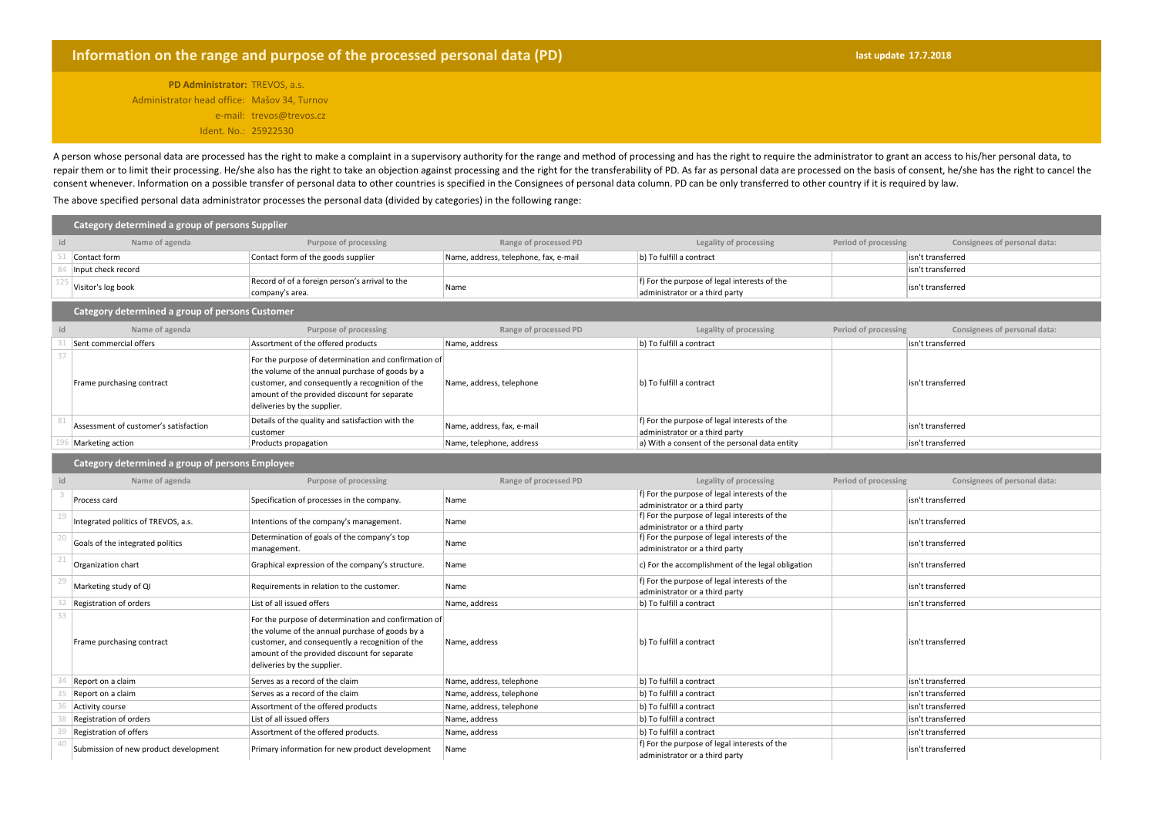## **Information on the range and purpose of the processed personal data (PD)** *last measurement in the last update* **17.7.2018**

**PD Administrator:** TREVOS, a.s. Administrator head office: Mašov 34, Turnov e-mail: trevos@trevos.cz Ident. No.: 25922530

A person whose personal data are processed has the right to make a complaint in a supervisory authority for the range and method of processing and has the right to require the administrator to grant an access to his/her pe repair them or to limit their processing. He/she also has the right to take an objection against processing and the right for the transferability of PD. As far as personal data are processed on the basis of consent, he/she consent whenever. Information on a possible transfer of personal data to other countries is specified in the Consignees of personal data column. PD can be only transferred to other country if it is required by law.

The above specified personal data administrator processes the personal data (divided by categories) in the following range:

| Category determined a group of persons Supplier |                                                 |                                                                                                                                                                                                                                           |                                       |                                                                                |                      |                              |  |  |
|-------------------------------------------------|-------------------------------------------------|-------------------------------------------------------------------------------------------------------------------------------------------------------------------------------------------------------------------------------------------|---------------------------------------|--------------------------------------------------------------------------------|----------------------|------------------------------|--|--|
| id                                              | Name of agenda                                  | Purpose of processing                                                                                                                                                                                                                     | Range of processed PD                 | Legality of processing                                                         | Period of processing | Consignees of personal data: |  |  |
|                                                 | Contact form                                    | Contact form of the goods supplier                                                                                                                                                                                                        | Name, address, telephone, fax, e-mail | b) To fulfill a contract                                                       |                      | isn't transferred            |  |  |
|                                                 | Input check record                              |                                                                                                                                                                                                                                           |                                       |                                                                                |                      | isn't transferred            |  |  |
|                                                 | Visitor's log book                              | Record of of a foreign person's arrival to the<br>company's area.                                                                                                                                                                         | Name                                  | f) For the purpose of legal interests of the<br>administrator or a third party |                      | isn't transferred            |  |  |
|                                                 | Category determined a group of persons Customer |                                                                                                                                                                                                                                           |                                       |                                                                                |                      |                              |  |  |
|                                                 | Name of agenda                                  | Purpose of processing                                                                                                                                                                                                                     | Range of processed PD                 | Legality of processing                                                         | Period of processing | Consignees of personal data: |  |  |
|                                                 | Sent commercial offers                          | Assortment of the offered products                                                                                                                                                                                                        | Name, address                         | b) To fulfill a contract                                                       |                      | isn't transferred            |  |  |
|                                                 | Frame purchasing contract                       | For the purpose of determination and confirmation of<br>the volume of the annual purchase of goods by a<br>customer, and consequently a recognition of the<br>amount of the provided discount for separate<br>deliveries by the supplier. | Name, address, telephone              | b) To fulfill a contract                                                       |                      | isn't transferred            |  |  |
|                                                 | Assessment of customer's satisfaction           | Details of the quality and satisfaction with the<br>customer                                                                                                                                                                              | Name, address, fax, e-mail            | f) For the purpose of legal interests of the<br>administrator or a third party |                      | isn't transferred            |  |  |
|                                                 | Marketing action                                | Products propagation                                                                                                                                                                                                                      | Name, telephone, address              | a) With a consent of the personal data entity                                  |                      | isn't transferred            |  |  |
|                                                 | Category determined a group of persons Employee |                                                                                                                                                                                                                                           |                                       |                                                                                |                      |                              |  |  |
|                                                 | Name of agenda                                  | Purpose of processing                                                                                                                                                                                                                     | Range of processed PD                 | Legality of processing                                                         | Period of processing | Consignees of personal data: |  |  |
|                                                 | Process card                                    | Specification of processes in the company.                                                                                                                                                                                                | Name                                  | f) For the purpose of legal interests of the<br>administrator or a third party |                      | isn't transferred            |  |  |
|                                                 | Integrated politics of TREVOS, a.s.             | Intentions of the company's management.                                                                                                                                                                                                   | Name                                  | f) For the purpose of legal interests of the<br>administrator or a third party |                      | isn't transferred            |  |  |
|                                                 | Goals of the integrated politics                | Determination of goals of the company's top<br>management.                                                                                                                                                                                | Name                                  | f) For the purpose of legal interests of the<br>administrator or a third party |                      | isn't transferred            |  |  |
|                                                 | Organization chart                              | Graphical expression of the company's structure.                                                                                                                                                                                          | Name                                  | c) For the accomplishment of the legal obligation                              |                      | isn't transferred            |  |  |
|                                                 | Marketing study of QI                           | Requirements in relation to the customer.                                                                                                                                                                                                 | Name                                  | f) For the purpose of legal interests of the<br>administrator or a third party |                      | isn't transferred            |  |  |
|                                                 | Registration of orders                          | List of all issued offers                                                                                                                                                                                                                 | Name, address                         | b) To fulfill a contract                                                       |                      | isn't transferred            |  |  |
|                                                 | Frame purchasing contract                       | For the purpose of determination and confirmation of<br>the volume of the annual purchase of goods by a<br>customer, and consequently a recognition of the<br>amount of the provided discount for separate<br>deliveries by the supplier. | Name, address                         | b) To fulfill a contract                                                       |                      | isn't transferred            |  |  |
|                                                 | Report on a claim                               | Serves as a record of the claim                                                                                                                                                                                                           | Name, address, telephone              | b) To fulfill a contract                                                       |                      | isn't transferred            |  |  |
|                                                 | Report on a claim                               | Serves as a record of the claim                                                                                                                                                                                                           | Name, address, telephone              | b) To fulfill a contract                                                       |                      | isn't transferred            |  |  |
|                                                 | Activity course                                 | Assortment of the offered products                                                                                                                                                                                                        | Name, address, telephone              | b) To fulfill a contract                                                       |                      | isn't transferred            |  |  |
|                                                 | Registration of orders                          | List of all issued offers                                                                                                                                                                                                                 | Name, address                         | b) To fulfill a contract                                                       |                      | isn't transferred            |  |  |
|                                                 | Registration of offers                          | Assortment of the offered products.                                                                                                                                                                                                       | Name, address                         | b) To fulfill a contract                                                       |                      | isn't transferred            |  |  |
|                                                 | Submission of new product development           | Primary information for new product development                                                                                                                                                                                           | Name                                  | f) For the purpose of legal interests of the<br>administrator or a third party |                      | isn't transferred            |  |  |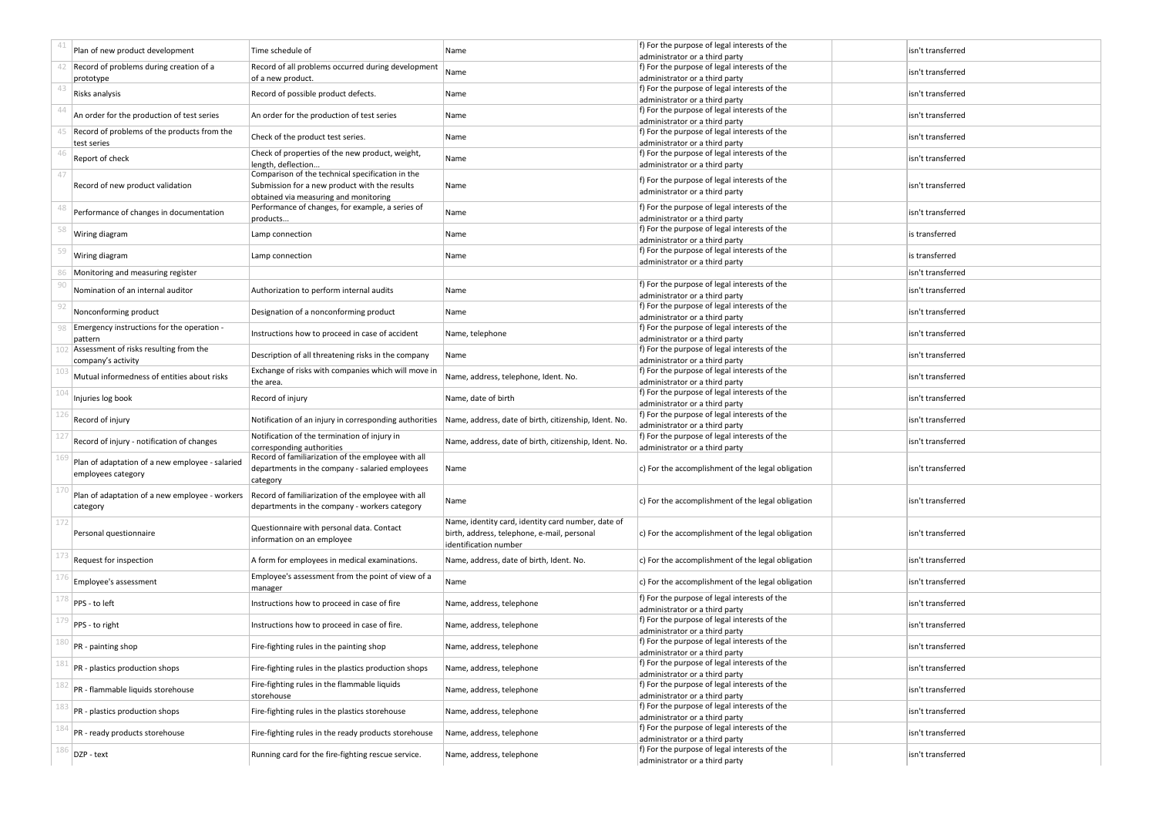|     | Plan of new product development                                       | Time schedule of                                                                                                        | Name                                                                                                                       | f) For the purpose of legal interests of the<br>administrator or a third party                                   | isn't transferred |
|-----|-----------------------------------------------------------------------|-------------------------------------------------------------------------------------------------------------------------|----------------------------------------------------------------------------------------------------------------------------|------------------------------------------------------------------------------------------------------------------|-------------------|
|     | Record of problems during creation of a<br>prototype                  | Record of all problems occurred during development<br>of a new product.                                                 | Name                                                                                                                       | f) For the purpose of legal interests of the<br>administrator or a third party                                   | isn't transferred |
| 43  | Risks analysis                                                        | Record of possible product defects.                                                                                     | Name                                                                                                                       | f) For the purpose of legal interests of the<br>administrator or a third party                                   | isn't transferred |
|     | An order for the production of test series                            | An order for the production of test series                                                                              | Name                                                                                                                       | f) For the purpose of legal interests of the<br>administrator or a third party                                   | isn't transferred |
|     | Record of problems of the products from the<br>test series            | Check of the product test series.                                                                                       | Name                                                                                                                       | f) For the purpose of legal interests of the<br>administrator or a third party                                   | isn't transferred |
|     | Report of check                                                       | Check of properties of the new product, weight,                                                                         | Name                                                                                                                       | f) For the purpose of legal interests of the                                                                     | isn't transferred |
| 47  | Record of new product validation                                      | length, deflection<br>Comparison of the technical specification in the<br>Submission for a new product with the results | Name                                                                                                                       | administrator or a third party<br>f) For the purpose of legal interests of the<br>administrator or a third party | isn't transferred |
| 48  | Performance of changes in documentation                               | obtained via measuring and monitoring<br>Performance of changes, for example, a series of<br>products                   | Name                                                                                                                       | f) For the purpose of legal interests of the<br>administrator or a third party                                   | isn't transferred |
|     | Wiring diagram                                                        | Lamp connection                                                                                                         | Name                                                                                                                       | f) For the purpose of legal interests of the<br>administrator or a third party                                   | is transferred    |
|     | Wiring diagram                                                        | Lamp connection                                                                                                         | Name                                                                                                                       | f) For the purpose of legal interests of the<br>administrator or a third party                                   | is transferred    |
|     | Monitoring and measuring register                                     |                                                                                                                         |                                                                                                                            |                                                                                                                  | isn't transferred |
|     | Nomination of an internal auditor                                     | Authorization to perform internal audits                                                                                | Name                                                                                                                       | f) For the purpose of legal interests of the<br>administrator or a third party                                   | isn't transferred |
| 92  | Nonconforming product                                                 | Designation of a nonconforming product                                                                                  | Name                                                                                                                       | f) For the purpose of legal interests of the<br>administrator or a third party                                   | isn't transferred |
|     | Emergency instructions for the operation -<br>pattern                 | Instructions how to proceed in case of accident                                                                         | Name, telephone                                                                                                            | f) For the purpose of legal interests of the<br>administrator or a third party                                   | isn't transferred |
| 102 | Assessment of risks resulting from the<br>company's activity          | Description of all threatening risks in the company                                                                     | Name                                                                                                                       | f) For the purpose of legal interests of the<br>administrator or a third party                                   | isn't transferred |
|     | Mutual informedness of entities about risks                           | Exchange of risks with companies which will move in<br>the area.                                                        | Name, address, telephone, Ident. No.                                                                                       | f) For the purpose of legal interests of the<br>administrator or a third party                                   | isn't transferred |
| 104 | Injuries log book                                                     | Record of injury                                                                                                        | Name, date of birth                                                                                                        | f) For the purpose of legal interests of the<br>administrator or a third party                                   | isn't transferred |
|     | Record of injury                                                      | Notification of an injury in corresponding authorities                                                                  | Name, address, date of birth, citizenship, Ident. No.                                                                      | f) For the purpose of legal interests of the<br>administrator or a third party                                   | isn't transferred |
|     | Record of injury - notification of changes                            | Notification of the termination of injury in<br>corresponding authorities                                               | Name, address, date of birth, citizenship, Ident. No.                                                                      | f) For the purpose of legal interests of the<br>administrator or a third party                                   | isn't transferred |
|     | Plan of adaptation of a new employee - salaried<br>employees category | Record of familiarization of the employee with all<br>departments in the company - salaried employees<br>category       | Name                                                                                                                       | c) For the accomplishment of the legal obligation                                                                | isn't transferred |
|     | Plan of adaptation of a new employee - workers<br>category            | Record of familiarization of the employee with all<br>departments in the company - workers category                     | Name                                                                                                                       | c) For the accomplishment of the legal obligation                                                                | isn't transferred |
| 172 | Personal questionnaire                                                | Questionnaire with personal data. Contact<br>information on an employee                                                 | Name, identity card, identity card number, date of<br>birth, address, telephone, e-mail, personal<br>identification number | c) For the accomplishment of the legal obligation                                                                | isn't transferred |
| 173 | Request for inspection                                                | A form for employees in medical examinations.                                                                           | Name, address, date of birth, Ident. No.                                                                                   | c) For the accomplishment of the legal obligation                                                                | isn't transferred |
|     | Employee's assessment                                                 | Employee's assessment from the point of view of a<br>manager                                                            | Name                                                                                                                       | c) For the accomplishment of the legal obligation                                                                | isn't transferred |
|     | PPS - to left                                                         | Instructions how to proceed in case of fire                                                                             | Name, address, telephone                                                                                                   | f) For the purpose of legal interests of the<br>administrator or a third party                                   | isn't transferred |
|     | PPS - to right                                                        | Instructions how to proceed in case of fire.                                                                            | Name, address, telephone                                                                                                   | f) For the purpose of legal interests of the<br>administrator or a third party                                   | isn't transferred |
| 180 | PR - painting shop                                                    | Fire-fighting rules in the painting shop                                                                                | Name, address, telephone                                                                                                   | f) For the purpose of legal interests of the<br>administrator or a third party                                   | isn't transferred |
| 181 | PR - plastics production shops                                        | Fire-fighting rules in the plastics production shops                                                                    | Name, address, telephone                                                                                                   | f) For the purpose of legal interests of the<br>administrator or a third party                                   | isn't transferred |
| 182 | PR - flammable liquids storehouse                                     | Fire-fighting rules in the flammable liquids<br>storehouse                                                              | Name, address, telephone                                                                                                   | f) For the purpose of legal interests of the<br>administrator or a third party                                   | isn't transferred |
| 183 | PR - plastics production shops                                        | Fire-fighting rules in the plastics storehouse                                                                          | Name, address, telephone                                                                                                   | f) For the purpose of legal interests of the<br>administrator or a third party                                   | isn't transferred |
| 184 | PR - ready products storehouse                                        | Fire-fighting rules in the ready products storehouse                                                                    | Name, address, telephone                                                                                                   | f) For the purpose of legal interests of the<br>administrator or a third party                                   | isn't transferred |
|     | DZP - text                                                            | Running card for the fire-fighting rescue service.                                                                      | Name, address, telephone                                                                                                   | f) For the purpose of legal interests of the<br>administrator or a third party                                   | isn't transferred |